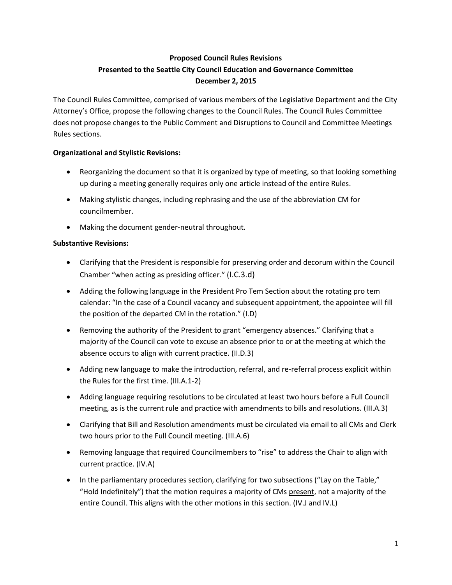## **Proposed Council Rules Revisions Presented to the Seattle City Council Education and Governance Committee December 2, 2015**

The Council Rules Committee, comprised of various members of the Legislative Department and the City Attorney's Office, propose the following changes to the Council Rules. The Council Rules Committee does not propose changes to the Public Comment and Disruptions to Council and Committee Meetings Rules sections.

## **Organizational and Stylistic Revisions:**

- Reorganizing the document so that it is organized by type of meeting, so that looking something up during a meeting generally requires only one article instead of the entire Rules.
- Making stylistic changes, including rephrasing and the use of the abbreviation CM for councilmember.
- Making the document gender-neutral throughout.

## **Substantive Revisions:**

- Clarifying that the President is responsible for preserving order and decorum within the Council Chamber "when acting as presiding officer." (I.C.3.d)
- Adding the following language in the President Pro Tem Section about the rotating pro tem calendar: "In the case of a Council vacancy and subsequent appointment, the appointee will fill the position of the departed CM in the rotation." (I.D)
- Removing the authority of the President to grant "emergency absences." Clarifying that a majority of the Council can vote to excuse an absence prior to or at the meeting at which the absence occurs to align with current practice. (II.D.3)
- Adding new language to make the introduction, referral, and re-referral process explicit within the Rules for the first time. (III.A.1-2)
- Adding language requiring resolutions to be circulated at least two hours before a Full Council meeting, as is the current rule and practice with amendments to bills and resolutions. (III.A.3)
- Clarifying that Bill and Resolution amendments must be circulated via email to all CMs and Clerk two hours prior to the Full Council meeting. (III.A.6)
- Removing language that required Councilmembers to "rise" to address the Chair to align with current practice. (IV.A)
- In the parliamentary procedures section, clarifying for two subsections ("Lay on the Table," "Hold Indefinitely") that the motion requires a majority of CMs present, not a majority of the entire Council. This aligns with the other motions in this section. (IV.J and IV.L)